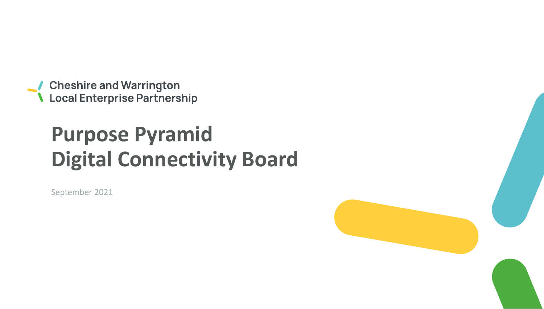● Cheshire and Warrington<br>● Local Enterprise Partnership

## **Purpose Pyramid Digital Connectivity Board**

September 2021

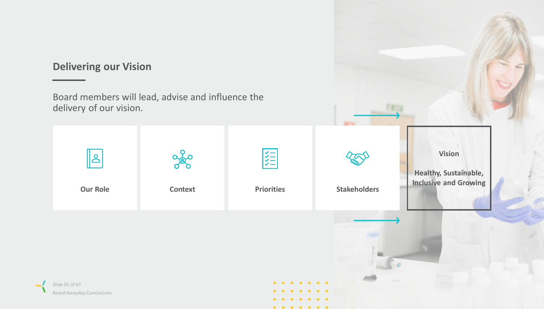## **Delivering our Vision**

Board members will lead, advise and influence the delivery of our vision.

| <u>S</u><br><b>Our Role</b>                        | <b>Context</b> | <b>KKK</b><br><b>Priorities</b>         | <b>Stakeholders</b> | <b>Vision</b><br><b>Healthy, Sustainable,</b><br><b>Inclusive and Growing</b> |
|----------------------------------------------------|----------------|-----------------------------------------|---------------------|-------------------------------------------------------------------------------|
| Slide 01 of 07<br><b>Board Awayday Conclusions</b> |                | $\bullet\quad$<br>$\bullet\quad\bullet$ | $\bullet$<br>.      | $-30 - 0.3$                                                                   |

. . . . . . . .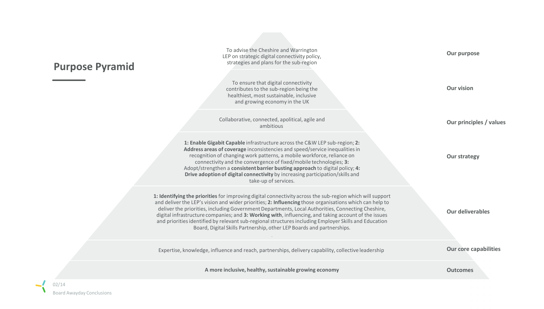| <b>Purpose Pyramid</b> | To advise the Cheshire and Warrington<br>LEP on strategic digital connectivity policy,<br>strategies and plans for the sub-region                                                                                                                                                                                                                                                                                                                                                                                                                                                                                   | Our purpose                  |
|------------------------|---------------------------------------------------------------------------------------------------------------------------------------------------------------------------------------------------------------------------------------------------------------------------------------------------------------------------------------------------------------------------------------------------------------------------------------------------------------------------------------------------------------------------------------------------------------------------------------------------------------------|------------------------------|
|                        | To ensure that digital connectivity<br>contributes to the sub-region being the<br>healthiest, most sustainable, inclusive<br>and growing economy in the UK                                                                                                                                                                                                                                                                                                                                                                                                                                                          | <b>Our vision</b>            |
|                        | Collaborative, connected, apolitical, agile and<br>ambitious                                                                                                                                                                                                                                                                                                                                                                                                                                                                                                                                                        | Our principles / values      |
|                        | 1: Enable Gigabit Capable infrastructure across the C&W LEP sub-region; 2:<br>Address areas of coverage inconsistencies and speed/service inequalities in<br>recognition of changing work patterns, a mobile workforce, reliance on<br>connectivity and the convergence of fixed/mobile technologies; 3:<br>Adopt/strengthen a consistent barrier busting approach to digital policy; 4:<br>Drive adoption of digital connectivity by increasing participation/skills and<br>take-up of services.                                                                                                                   | <b>Our strategy</b>          |
|                        | 1: Identifying the priorities for improving digital connectivity across the sub-region which will support<br>and deliver the LEP's vision and wider priorities; 2: Influencing those organisations which can help to<br>deliver the priorities, including Government Departments, Local Authorities, Connecting Cheshire,<br>digital infrastructure companies; and 3: Working with, influencing, and taking account of the issues<br>and priorities identified by relevant sub-regional structures including Employer Skills and Education<br>Board, Digital Skills Partnership, other LEP Boards and partnerships. | <b>Our deliverables</b>      |
|                        | Expertise, knowledge, influence and reach, partnerships, delivery capability, collective leadership                                                                                                                                                                                                                                                                                                                                                                                                                                                                                                                 | <b>Our core capabilities</b> |
|                        | A more inclusive, healthy, sustainable growing economy                                                                                                                                                                                                                                                                                                                                                                                                                                                                                                                                                              | <b>Outcomes</b>              |

 $\prec$